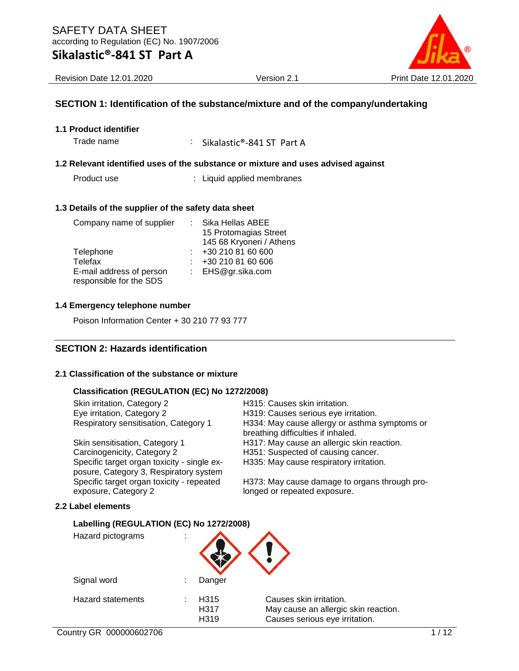

#### **SECTION 1: Identification of the substance/mixture and of the company/undertaking**

**1.1 Product identifier**

Trade name : Sikalastic®-841 ST Part A

#### **1.2 Relevant identified uses of the substance or mixture and uses advised against**

Product use : Liquid applied membranes

#### **1.3 Details of the supplier of the safety data sheet**

| Company name of supplier | : Sika Hellas ABEE       |
|--------------------------|--------------------------|
|                          | 15 Protomagias Street    |
|                          | 145 68 Kryoneri / Athens |
| Telephone                | +30 210 81 60 600        |
| Telefax                  | +30 210 81 60 606        |
| E-mail address of person | : EHS@gr.sika.com        |
| responsible for the SDS  |                          |

#### **1.4 Emergency telephone number**

Poison Information Center + 30 210 77 93 777

#### **SECTION 2: Hazards identification**

#### **2.1 Classification of the substance or mixture**

#### **Classification (REGULATION (EC) No 1272/2008)**

| Skin irritation, Category 2           |
|---------------------------------------|
| Eye irritation, Category 2            |
| Respiratory sensitisation, Category 1 |

Carcinogenicity, Category 2 H351: Suspected of causing cancer. Specific target organ toxicity - single exposure, Category 3, Respiratory system Specific target organ toxicity - repeated exposure, Category 2

**Labelling (REGULATION (EC) No 1272/2008)**

**2.2 Label elements**

H319: Causes serious eye irritation. H334: May cause allergy or asthma symptoms or breathing difficulties if inhaled. Skin sensitisation, Category 1 **H317:** May cause an allergic skin reaction. H335: May cause respiratory irritation.

H315: Causes skin irritation.

H373: May cause damage to organs through prolonged or repeated exposure.

| Hazard pictograms        |                                               |                                                                                                   |
|--------------------------|-----------------------------------------------|---------------------------------------------------------------------------------------------------|
| Signal word              | Danger                                        |                                                                                                   |
| <b>Hazard statements</b> | H <sub>315</sub><br>H <sub>3</sub> 17<br>H319 | Causes skin irritation.<br>May cause an allergic skin reaction.<br>Causes serious eye irritation. |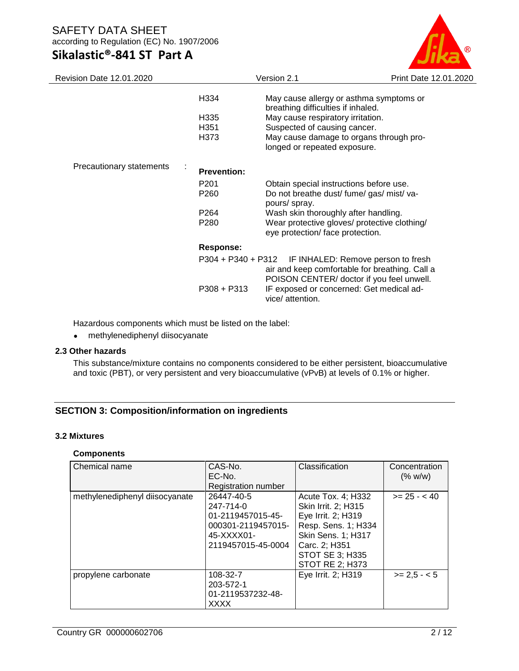# **Sikalastic®-841 ST Part A**



| <b>Revision Date 12.01.2020</b> |                    | Version 2.1                                                                                                                       | Print Date 12.01.2020 |
|---------------------------------|--------------------|-----------------------------------------------------------------------------------------------------------------------------------|-----------------------|
|                                 | H334               | May cause allergy or asthma symptoms or<br>breathing difficulties if inhaled.                                                     |                       |
|                                 | H335               | May cause respiratory irritation.                                                                                                 |                       |
|                                 | H <sub>351</sub>   | Suspected of causing cancer.                                                                                                      |                       |
|                                 | H373               | May cause damage to organs through pro-<br>longed or repeated exposure.                                                           |                       |
| Precautionary statements        | <b>Prevention:</b> |                                                                                                                                   |                       |
|                                 | P <sub>201</sub>   | Obtain special instructions before use.                                                                                           |                       |
|                                 | P <sub>260</sub>   | Do not breathe dust/ fume/ gas/ mist/ va-<br>pours/ spray.                                                                        |                       |
|                                 | P264               | Wash skin thoroughly after handling.                                                                                              |                       |
|                                 | P <sub>280</sub>   | Wear protective gloves/ protective clothing/<br>eye protection/ face protection.                                                  |                       |
|                                 | Response:          |                                                                                                                                   |                       |
|                                 | P304 + P340 + P312 | IF INHALED: Remove person to fresh<br>air and keep comfortable for breathing. Call a<br>POISON CENTER/ doctor if you feel unwell. |                       |
|                                 | $P308 + P313$      | IF exposed or concerned: Get medical ad-<br>vice/ attention.                                                                      |                       |

Hazardous components which must be listed on the label:

• methylenediphenyl diisocyanate

#### **2.3 Other hazards**

This substance/mixture contains no components considered to be either persistent, bioaccumulative and toxic (PBT), or very persistent and very bioaccumulative (vPvB) at levels of 0.1% or higher.

### **SECTION 3: Composition/information on ingredients**

#### **3.2 Mixtures**

#### **Components**

| Chemical name                  | CAS-No.<br>EC-No.<br>Registration number                                                               | Classification                                                                                                                                                                           | Concentration<br>(% w/w) |
|--------------------------------|--------------------------------------------------------------------------------------------------------|------------------------------------------------------------------------------------------------------------------------------------------------------------------------------------------|--------------------------|
| methylenediphenyl diisocyanate | 26447-40-5<br>247-714-0<br>01-2119457015-45-<br>000301-2119457015-<br>45-XXXX01-<br>2119457015-45-0004 | Acute Tox. 4; H332<br>Skin Irrit. 2; H315<br>Eye Irrit. 2; H319<br>Resp. Sens. 1; H334<br><b>Skin Sens. 1; H317</b><br>Carc. 2; H351<br><b>STOT SE 3; H335</b><br><b>STOT RE 2; H373</b> | $>= 25 - < 40$           |
| propylene carbonate            | 108-32-7<br>203-572-1<br>01-2119537232-48-<br><b>XXXX</b>                                              | Eye Irrit. 2; H319                                                                                                                                                                       | $>= 2.5 - 5$             |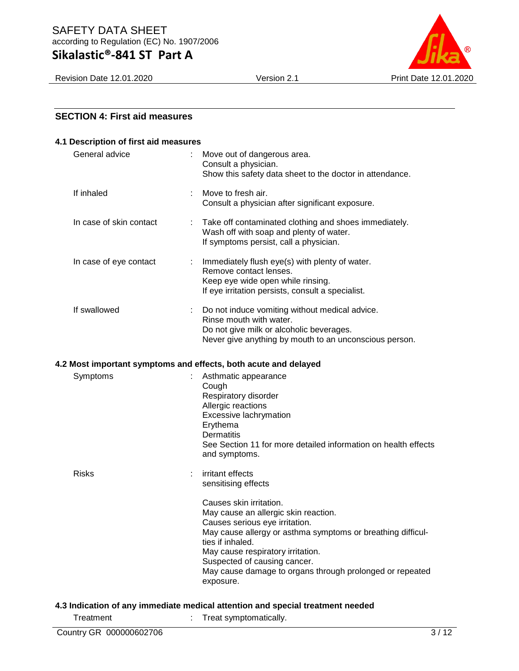# **Sikalastic®-841 ST Part A**

Revision Date 12.01.2020 Version 2.1 Print Date 12.01.2020

|  | <b>SECTION 4: First aid measures</b> |  |
|--|--------------------------------------|--|
|  |                                      |  |

| 4.1 Description of first aid measures |                                                                                                                                                                                                                                                                                                                                    |
|---------------------------------------|------------------------------------------------------------------------------------------------------------------------------------------------------------------------------------------------------------------------------------------------------------------------------------------------------------------------------------|
| General advice                        | Move out of dangerous area.<br>÷<br>Consult a physician.<br>Show this safety data sheet to the doctor in attendance.                                                                                                                                                                                                               |
| If inhaled                            | Move to fresh air.<br>Consult a physician after significant exposure.                                                                                                                                                                                                                                                              |
| In case of skin contact               | Take off contaminated clothing and shoes immediately.<br>Wash off with soap and plenty of water.<br>If symptoms persist, call a physician.                                                                                                                                                                                         |
| In case of eye contact                | Immediately flush eye(s) with plenty of water.<br>÷<br>Remove contact lenses.<br>Keep eye wide open while rinsing.<br>If eye irritation persists, consult a specialist.                                                                                                                                                            |
| If swallowed                          | Do not induce vomiting without medical advice.<br>Rinse mouth with water.<br>Do not give milk or alcoholic beverages.<br>Never give anything by mouth to an unconscious person.                                                                                                                                                    |
|                                       | 4.2 Most important symptoms and effects, both acute and delayed                                                                                                                                                                                                                                                                    |
| Symptoms                              | Asthmatic appearance<br>Cough<br>Respiratory disorder<br>Allergic reactions<br>Excessive lachrymation<br>Erythema<br><b>Dermatitis</b><br>See Section 11 for more detailed information on health effects<br>and symptoms.                                                                                                          |
| <b>Risks</b>                          | irritant effects<br>sensitising effects                                                                                                                                                                                                                                                                                            |
|                                       | Causes skin irritation.<br>May cause an allergic skin reaction.<br>Causes serious eye irritation.<br>May cause allergy or asthma symptoms or breathing difficul-<br>ties if inhaled.<br>May cause respiratory irritation.<br>Suspected of causing cancer.<br>May cause damage to organs through prolonged or repeated<br>exposure. |
|                                       | 4.3 Indication of any immediate medical attention and special treatment needed                                                                                                                                                                                                                                                     |

Treatment : Treat symptomatically.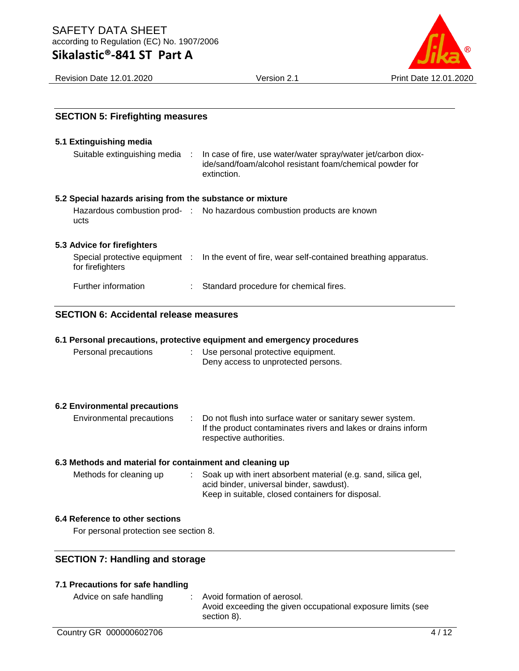# **Sikalastic®-841 ST Part A**



Revision Date 12.01.2020 Version 2.1 Print Date 12.01.2020

| <b>SECTION 5: Firefighting measures</b>                   |                                                                                                                                                                |
|-----------------------------------------------------------|----------------------------------------------------------------------------------------------------------------------------------------------------------------|
| 5.1 Extinguishing media                                   |                                                                                                                                                                |
| Suitable extinguishing media                              | In case of fire, use water/water spray/water jet/carbon diox-<br>- 11<br>ide/sand/foam/alcohol resistant foam/chemical powder for<br>extinction.               |
| 5.2 Special hazards arising from the substance or mixture |                                                                                                                                                                |
| ucts                                                      | Hazardous combustion prod- : No hazardous combustion products are known                                                                                        |
| 5.3 Advice for firefighters                               |                                                                                                                                                                |
| for firefighters                                          | Special protective equipment : In the event of fire, wear self-contained breathing apparatus.                                                                  |
| Further information                                       | Standard procedure for chemical fires.                                                                                                                         |
| <b>SECTION 6: Accidental release measures</b>             |                                                                                                                                                                |
|                                                           | 6.1 Personal precautions, protective equipment and emergency procedures                                                                                        |
| Personal precautions                                      | Use personal protective equipment.<br>Deny access to unprotected persons.                                                                                      |
| <b>6.2 Environmental precautions</b>                      |                                                                                                                                                                |
| Environmental precautions                                 | Do not flush into surface water or sanitary sewer system.<br>If the product contaminates rivers and lakes or drains inform<br>respective authorities.          |
| 6.3 Methods and material for containment and cleaning up  |                                                                                                                                                                |
| Methods for cleaning up                                   | Soak up with inert absorbent material (e.g. sand, silica gel,<br>acid binder, universal binder, sawdust).<br>Keep in suitable, closed containers for disposal. |
| 6.4 Reference to other sections                           |                                                                                                                                                                |
| For personal protection see section 8.                    |                                                                                                                                                                |
| <b>SECTION 7: Handling and storage</b>                    |                                                                                                                                                                |
| 7.1 Precautions for safe handling                         |                                                                                                                                                                |
|                                                           |                                                                                                                                                                |

#### Advice on safe handling : Avoid formation of aerosol. Avoid exceeding the given occupational exposure limits (see section 8).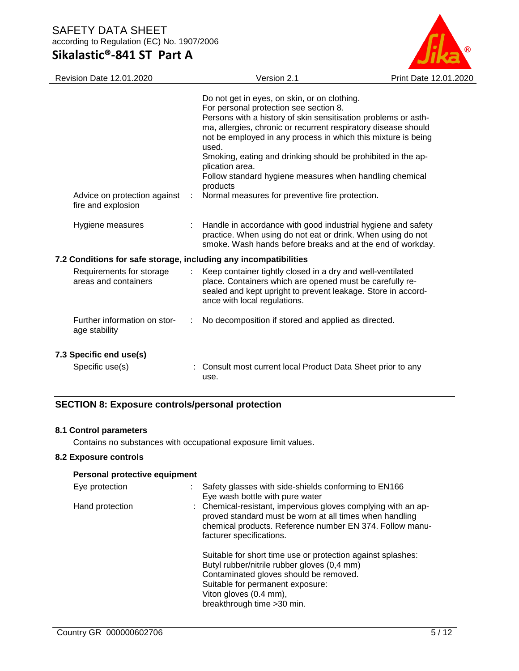# **Sikalastic®-841 ST Part A**



| <b>Revision Date 12.01.2020</b>                                  | Version 2.1                                                                                                                                                                                                                                                                                                                                                                                                                                                                                                       | Print Date 12.01.2020 |
|------------------------------------------------------------------|-------------------------------------------------------------------------------------------------------------------------------------------------------------------------------------------------------------------------------------------------------------------------------------------------------------------------------------------------------------------------------------------------------------------------------------------------------------------------------------------------------------------|-----------------------|
| Advice on protection against<br>fire and explosion               | Do not get in eyes, on skin, or on clothing.<br>For personal protection see section 8.<br>Persons with a history of skin sensitisation problems or asth-<br>ma, allergies, chronic or recurrent respiratory disease should<br>not be employed in any process in which this mixture is being<br>used.<br>Smoking, eating and drinking should be prohibited in the ap-<br>plication area.<br>Follow standard hygiene measures when handling chemical<br>products<br>Normal measures for preventive fire protection. |                       |
| Hygiene measures                                                 | Handle in accordance with good industrial hygiene and safety<br>practice. When using do not eat or drink. When using do not<br>smoke. Wash hands before breaks and at the end of workday.                                                                                                                                                                                                                                                                                                                         |                       |
| 7.2 Conditions for safe storage, including any incompatibilities |                                                                                                                                                                                                                                                                                                                                                                                                                                                                                                                   |                       |
| Requirements for storage<br>areas and containers                 | Keep container tightly closed in a dry and well-ventilated<br>place. Containers which are opened must be carefully re-<br>sealed and kept upright to prevent leakage. Store in accord-<br>ance with local regulations.                                                                                                                                                                                                                                                                                            |                       |
| Further information on stor-<br>age stability                    | No decomposition if stored and applied as directed.                                                                                                                                                                                                                                                                                                                                                                                                                                                               |                       |
| 7.3 Specific end use(s)                                          |                                                                                                                                                                                                                                                                                                                                                                                                                                                                                                                   |                       |
| Specific use(s)                                                  | Consult most current local Product Data Sheet prior to any<br>use.                                                                                                                                                                                                                                                                                                                                                                                                                                                |                       |

### **SECTION 8: Exposure controls/personal protection**

#### **8.1 Control parameters**

Contains no substances with occupational exposure limit values.

### **8.2 Exposure controls**

#### **Personal protective equipment**

| Eye protection  | : Safety glasses with side-shields conforming to EN166<br>Eye wash bottle with pure water                                                                                                                        |
|-----------------|------------------------------------------------------------------------------------------------------------------------------------------------------------------------------------------------------------------|
| Hand protection | : Chemical-resistant, impervious gloves complying with an ap-<br>proved standard must be worn at all times when handling<br>chemical products. Reference number EN 374. Follow manu-<br>facturer specifications. |
|                 | Suitable for short time use or protection against splashes:<br>Butyl rubber/nitrile rubber gloves (0,4 mm)<br>Contaminated gloves should be removed.                                                             |
|                 | Suitable for permanent exposure:                                                                                                                                                                                 |
|                 | Viton gloves (0.4 mm),                                                                                                                                                                                           |
|                 | breakthrough time > 30 min.                                                                                                                                                                                      |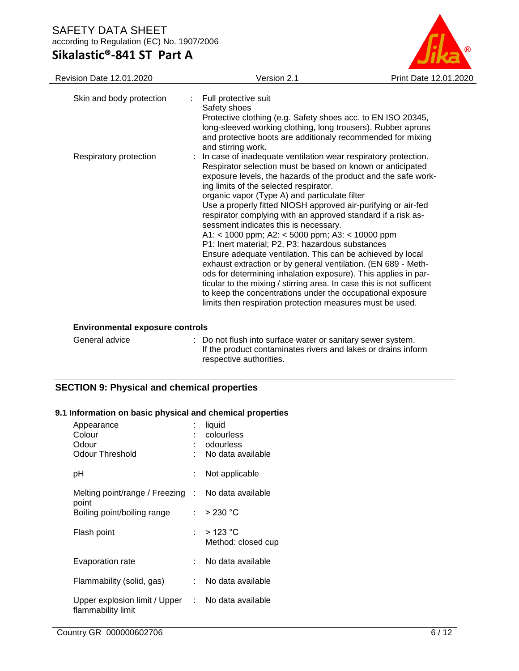**Sikalastic®-841 ST Part A**



| Revision Date 12.01.2020      | Version 2.1                                                                                                                                                                                                                                                                                                                                                                                                                                                                                                                                                                                                                                                                                                                                                                                                                                                                                                                                                                      | Print Date 12.01.2020 |
|-------------------------------|----------------------------------------------------------------------------------------------------------------------------------------------------------------------------------------------------------------------------------------------------------------------------------------------------------------------------------------------------------------------------------------------------------------------------------------------------------------------------------------------------------------------------------------------------------------------------------------------------------------------------------------------------------------------------------------------------------------------------------------------------------------------------------------------------------------------------------------------------------------------------------------------------------------------------------------------------------------------------------|-----------------------|
| Skin and body protection<br>÷ | Full protective suit<br>Safety shoes<br>Protective clothing (e.g. Safety shoes acc. to EN ISO 20345,<br>long-sleeved working clothing, long trousers). Rubber aprons<br>and protective boots are additionaly recommended for mixing<br>and stirring work.                                                                                                                                                                                                                                                                                                                                                                                                                                                                                                                                                                                                                                                                                                                        |                       |
| Respiratory protection        | : In case of inadequate ventilation wear respiratory protection.<br>Respirator selection must be based on known or anticipated<br>exposure levels, the hazards of the product and the safe work-<br>ing limits of the selected respirator.<br>organic vapor (Type A) and particulate filter<br>Use a properly fitted NIOSH approved air-purifying or air-fed<br>respirator complying with an approved standard if a risk as-<br>sessment indicates this is necessary.<br>A1: < 1000 ppm; A2: < 5000 ppm; A3: < 10000 ppm<br>P1: Inert material; P2, P3: hazardous substances<br>Ensure adequate ventilation. This can be achieved by local<br>exhaust extraction or by general ventilation. (EN 689 - Meth-<br>ods for determining inhalation exposure). This applies in par-<br>ticular to the mixing / stirring area. In case this is not sufficent<br>to keep the concentrations under the occupational exposure<br>limits then respiration protection measures must be used. |                       |

#### **Environmental exposure controls**

| General advice | : Do not flush into surface water or sanitary sewer system.   |
|----------------|---------------------------------------------------------------|
|                | If the product contaminates rivers and lakes or drains inform |
|                | respective authorities.                                       |

### **SECTION 9: Physical and chemical properties**

#### **9.1 Information on basic physical and chemical properties**

| Appearance<br>Colour<br>Odour<br>Odour Threshold                        |    | liquid<br>colourless<br>odourless<br>No data available |
|-------------------------------------------------------------------------|----|--------------------------------------------------------|
| рH                                                                      |    | Not applicable                                         |
| Melting point/range / Freezing : No data available<br>point             |    |                                                        |
| Boiling point/boiling range                                             |    | : $>230 °C$                                            |
| Flash point                                                             |    | : $>123 \degree$ C<br>Method: closed cup               |
| Evaporation rate                                                        | t. | No data available                                      |
| Flammability (solid, gas)                                               |    | No data available                                      |
| Upper explosion limit / Upper : No data available<br>flammability limit |    |                                                        |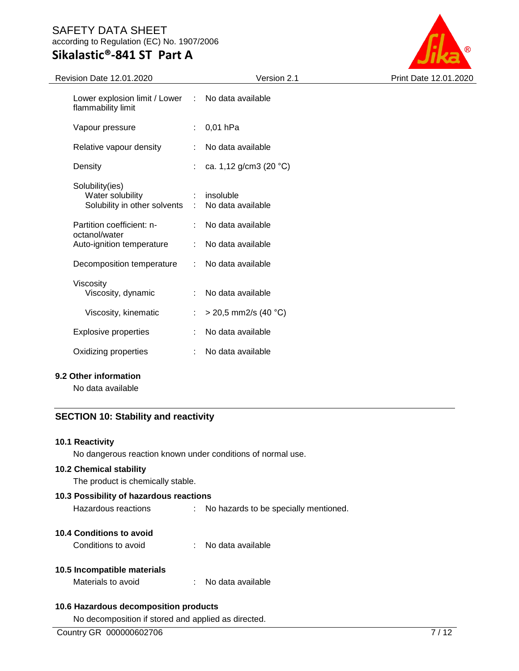# **Sikalastic®-841 ST Part A**

Revision Date 12.01.2020 Version 2.1 Print Date 12.01.2020

| Lower explosion limit / Lower : No data available<br>flammability limit |                                      |
|-------------------------------------------------------------------------|--------------------------------------|
| Vapour pressure                                                         | : $0,01$ hPa                         |
| Relative vapour density                                                 | : No data available                  |
| Density                                                                 | : ca. 1,12 g/cm3 (20 °C)             |
| Solubility(ies)<br>Water solubility<br>Solubility in other solvents     | $:$ insoluble<br>: No data available |
| Partition coefficient: n-<br>octanol/water                              | : No data available                  |
| Auto-ignition temperature                                               | : No data available                  |
| Decomposition temperature                                               | : No data available                  |
| Viscosity<br>Viscosity, dynamic                                         | No data available                    |
| Viscosity, kinematic                                                    | : > 20,5 mm2/s (40 °C)               |
| <b>Explosive properties</b>                                             | No data available                    |
| Oxidizing properties                                                    | No data available                    |
|                                                                         |                                      |

#### **9.2 Other information**

No data available

### **SECTION 10: Stability and reactivity**

#### **10.1 Reactivity**

No dangerous reaction known under conditions of normal use.

#### **10.2 Chemical stability**

The product is chemically stable.

# **10.3 Possibility of hazardous reactions**

Hazardous reactions : No hazards to be specially mentioned.

#### **10.4 Conditions to avoid**

Conditions to avoid : No data available

#### **10.5 Incompatible materials**

| Materials to avoid | No data available |
|--------------------|-------------------|
|--------------------|-------------------|

### **10.6 Hazardous decomposition products**

No decomposition if stored and applied as directed.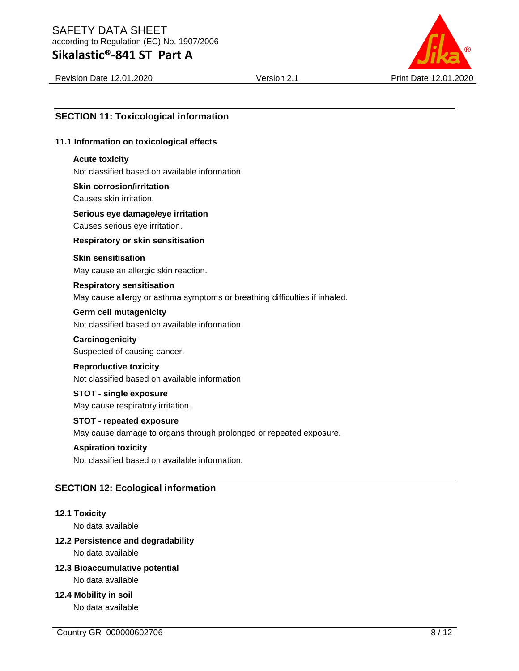# **Sikalastic®-841 ST Part A**



Revision Date 12.01.2020 Version 2.1 Print Date 12.01.2020

### **SECTION 11: Toxicological information**

#### **11.1 Information on toxicological effects**

#### **Acute toxicity**

Not classified based on available information.

#### **Skin corrosion/irritation** Causes skin irritation.

### **Serious eye damage/eye irritation** Causes serious eye irritation.

**Respiratory or skin sensitisation**

#### **Skin sensitisation**

May cause an allergic skin reaction.

### **Respiratory sensitisation** May cause allergy or asthma symptoms or breathing difficulties if inhaled.

#### **Germ cell mutagenicity**

Not classified based on available information.

#### **Carcinogenicity**

Suspected of causing cancer.

#### **Reproductive toxicity**

Not classified based on available information.

#### **STOT - single exposure**

May cause respiratory irritation.

#### **STOT - repeated exposure**

May cause damage to organs through prolonged or repeated exposure.

#### **Aspiration toxicity**

Not classified based on available information.

#### **SECTION 12: Ecological information**

#### **12.1 Toxicity**

No data available

#### **12.2 Persistence and degradability**

No data available

#### **12.3 Bioaccumulative potential**

No data available

#### **12.4 Mobility in soil**

No data available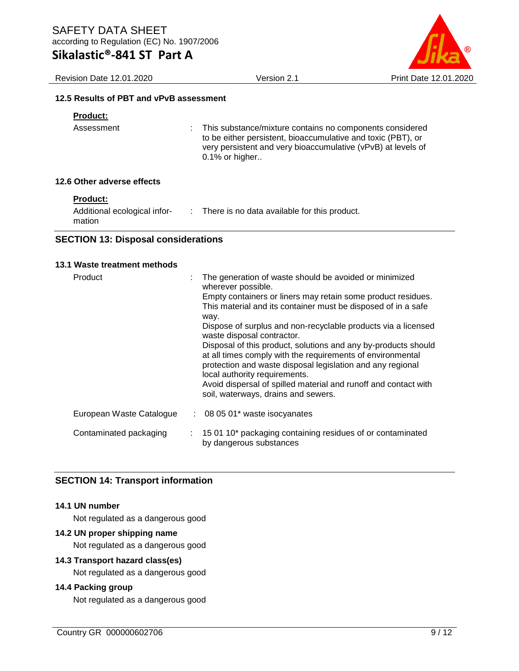**Sikalastic®-841 ST Part A**

Revision Date 12.01.2020 Version 2.1 Print Date 12.01.2020

#### **12.5 Results of PBT and vPvB assessment**

### **Product:**

Assessment : This substance/mixture contains no components considered to be either persistent, bioaccumulative and toxic (PBT), or very persistent and very bioaccumulative (vPvB) at levels of 0.1% or higher..

#### **12.6 Other adverse effects**

| <b>Product:</b>              |                                              |
|------------------------------|----------------------------------------------|
| Additional ecological infor- | There is no data available for this product. |
| mation                       |                                              |

#### **SECTION 13: Disposal considerations**

| 13.1 Waste treatment methods |   |                                                                                                                                                                                                                                                                                                                                                                                                                                                                                                                                                                                                                                                               |
|------------------------------|---|---------------------------------------------------------------------------------------------------------------------------------------------------------------------------------------------------------------------------------------------------------------------------------------------------------------------------------------------------------------------------------------------------------------------------------------------------------------------------------------------------------------------------------------------------------------------------------------------------------------------------------------------------------------|
| Product                      | ÷ | The generation of waste should be avoided or minimized<br>wherever possible.<br>Empty containers or liners may retain some product residues.<br>This material and its container must be disposed of in a safe<br>way.<br>Dispose of surplus and non-recyclable products via a licensed<br>waste disposal contractor.<br>Disposal of this product, solutions and any by-products should<br>at all times comply with the requirements of environmental<br>protection and waste disposal legislation and any regional<br>local authority requirements.<br>Avoid dispersal of spilled material and runoff and contact with<br>soil, waterways, drains and sewers. |
| European Waste Catalogue     |   | $\therefore$ 08 05 01 $*$ waste isocyanates                                                                                                                                                                                                                                                                                                                                                                                                                                                                                                                                                                                                                   |
| Contaminated packaging       |   | 15 01 10* packaging containing residues of or contaminated<br>by dangerous substances                                                                                                                                                                                                                                                                                                                                                                                                                                                                                                                                                                         |

### **SECTION 14: Transport information**

#### **14.1 UN number**

Not regulated as a dangerous good

#### **14.2 UN proper shipping name**

Not regulated as a dangerous good

#### **14.3 Transport hazard class(es)**

Not regulated as a dangerous good

#### **14.4 Packing group**

Not regulated as a dangerous good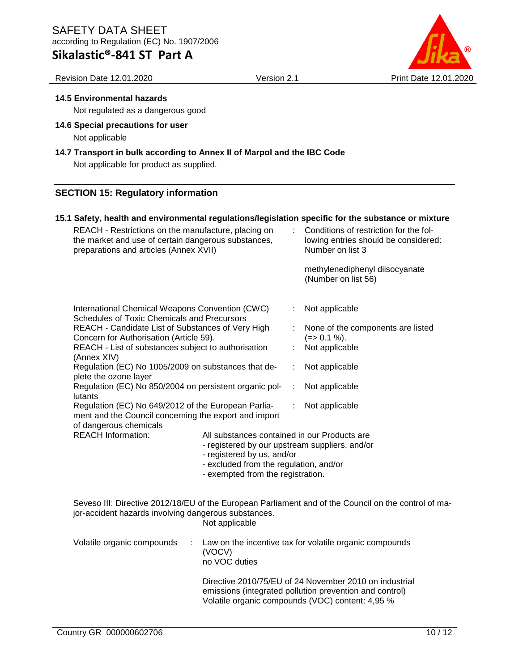# **Sikalastic®-841 ST Part A**

#### Revision Date 12.01.2020 Version 2.1 Print Date 12.01.2020

#### **14.5 Environmental hazards**

Not regulated as a dangerous good

**14.6 Special precautions for user** Not applicable

# **14.7 Transport in bulk according to Annex II of Marpol and the IBC Code**

Not applicable for product as supplied.

### **SECTION 15: Regulatory information**

#### **15.1 Safety, health and environmental regulations/legislation specific for the substance or mixture** REACH - Restrictions on the manufacture, placing on the market and use of certain dangerous substances, preparations and articles (Annex XVII) : Conditions of restriction for the following entries should be considered: Number on list 3 methylenediphenyl diisocyanate (Number on list 56) International Chemical Weapons Convention (CWC) Schedules of Toxic Chemicals and Precursors : Not applicable REACH - Candidate List of Substances of Very High Concern for Authorisation (Article 59). : None of the components are listed  $(=> 0.1 \%)$ . REACH - List of substances subject to authorisation (Annex XIV) : Not applicable Regulation (EC) No 1005/2009 on substances that deplete the ozone layer : Not applicable Regulation (EC) No 850/2004 on persistent organic pollutants : Not applicable Regulation (EC) No 649/2012 of the European Parliament and the Council concerning the export and import of dangerous chemicals : Not applicable REACH Information: All substances contained in our Products are - registered by our upstream suppliers, and/or - registered by us, and/or - excluded from the regulation, and/or - exempted from the registration. Seveso III: Directive 2012/18/EU of the European Parliament and of the Council on the control of major-accident hazards involving dangerous substances. Not applicable Volatile organic compounds : Law on the incentive tax for volatile organic compounds (VOCV) no VOC duties

Directive 2010/75/EU of 24 November 2010 on industrial emissions (integrated pollution prevention and control) Volatile organic compounds (VOC) content: 4,95 %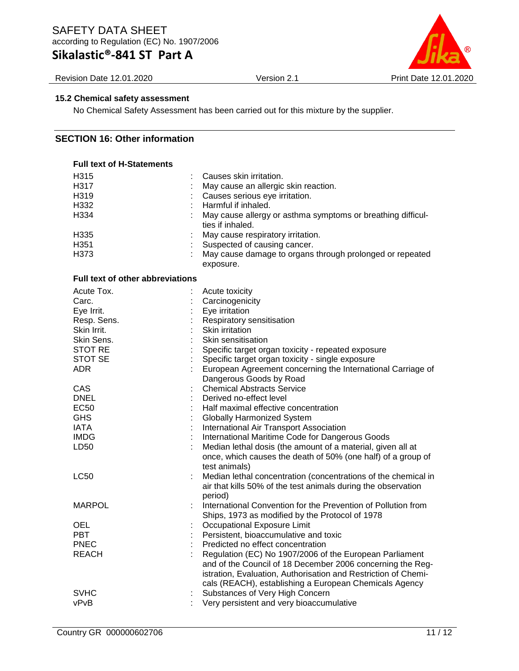# **Sikalastic®-841 ST Part A**

Revision Date 12.01.2020 Version 2.1 Print Date 12.01.2020



#### **15.2 Chemical safety assessment**

No Chemical Safety Assessment has been carried out for this mixture by the supplier.

## **SECTION 16: Other information**

| <b>Full text of H-Statements</b>        |                                                                |
|-----------------------------------------|----------------------------------------------------------------|
| H315                                    | Causes skin irritation.                                        |
| H317                                    | May cause an allergic skin reaction.                           |
| H <sub>319</sub>                        | Causes serious eye irritation.                                 |
| H332                                    | Harmful if inhaled.                                            |
| H334                                    | May cause allergy or asthma symptoms or breathing difficul-    |
|                                         | ties if inhaled.                                               |
| H335                                    | May cause respiratory irritation.                              |
| H351                                    | Suspected of causing cancer.                                   |
| H373                                    | May cause damage to organs through prolonged or repeated       |
|                                         | exposure.                                                      |
|                                         |                                                                |
| <b>Full text of other abbreviations</b> |                                                                |
| Acute Tox.                              | Acute toxicity                                                 |
| Carc.                                   | Carcinogenicity                                                |
| Eye Irrit.                              | Eye irritation                                                 |
| Resp. Sens.                             | Respiratory sensitisation                                      |
| Skin Irrit.                             | Skin irritation                                                |
| Skin Sens.                              | Skin sensitisation                                             |
| <b>STOT RE</b>                          | Specific target organ toxicity - repeated exposure             |
| STOT SE                                 | Specific target organ toxicity - single exposure               |
| <b>ADR</b>                              | European Agreement concerning the International Carriage of    |
|                                         | Dangerous Goods by Road                                        |
| CAS                                     | <b>Chemical Abstracts Service</b>                              |
| <b>DNEL</b>                             | Derived no-effect level                                        |
| <b>EC50</b>                             | Half maximal effective concentration                           |
| <b>GHS</b>                              | Globally Harmonized System                                     |
| <b>IATA</b>                             | International Air Transport Association                        |
| <b>IMDG</b>                             | International Maritime Code for Dangerous Goods                |
|                                         | Median lethal dosis (the amount of a material, given all at    |
| LD <sub>50</sub>                        |                                                                |
|                                         | once, which causes the death of 50% (one half) of a group of   |
|                                         | test animals)                                                  |
| LC50                                    | Median lethal concentration (concentrations of the chemical in |
|                                         | air that kills 50% of the test animals during the observation  |
|                                         | period)                                                        |
| <b>MARPOL</b>                           | International Convention for the Prevention of Pollution from  |
|                                         | Ships, 1973 as modified by the Protocol of 1978                |
| OEL                                     | Occupational Exposure Limit                                    |
| <b>PBT</b>                              | Persistent, bioaccumulative and toxic                          |
| <b>PNEC</b>                             | Predicted no effect concentration                              |
| <b>REACH</b>                            | Regulation (EC) No 1907/2006 of the European Parliament        |
|                                         | and of the Council of 18 December 2006 concerning the Reg-     |
|                                         | istration, Evaluation, Authorisation and Restriction of Chemi- |
|                                         | cals (REACH), establishing a European Chemicals Agency         |
| <b>SVHC</b>                             | Substances of Very High Concern                                |
| vPvB                                    | Very persistent and very bioaccumulative                       |
|                                         |                                                                |